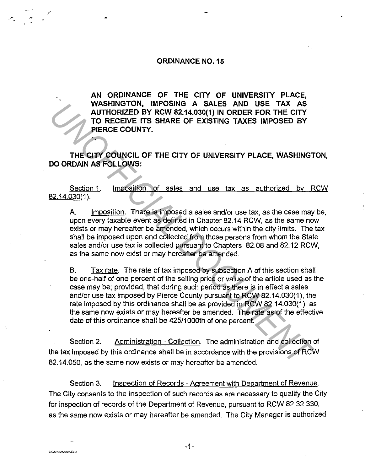## **ORDINANCE N0.15**

**AN ORDINANCE OF THE CITY OF UNIVERSITY PLACE, WASHINGTON, IMPOSING A SALES AND USE TAX AS AUTHORIZED BY RCW 82.14.030(1) IN ORDER FOR THE CITY TO RECEIVE ITS SHARE OF EXISTING TAXES IMPOSED BY PIERCE COUNTY.** 

**THE CITY COUNCIL OF THE CITY OF UNIVERSITY PLACE, WASHINGTON, DO ORDAIN AS FOLLOWS:** 

Section 1. Imposition of sales and use tax as authorized by RCW 82.14.030(1 ).

A. Imposition. There is imposed a sales and/or use tax, as the case may be, upon every taxable event as defined in Chapter 82.14 RCW, as the same now exists or may hereafter be amended, which occurs within the city limits. The tax shall be imposed upon and collected from those persons from whom the State sales and/or use tax is collected pursuant to Chapters 82.08 and 82.12 RCW, as the same now exist or may hereafter be amended.

B. Tax rate. The rate of tax imposed by subsection A of this section shall be one-half of one percent of the selling price or value of the article used as the case may be; provided, that during such period as there is in effect a sales and/or use tax imposed by Pierce County pursuant to RCW 82.14.030(1 ), the rate imposed by this ordinance shall be as provided in RCW 82.14.030(1), as the same now exists or may hereafter be amended. The rate as of the effective date of this ordinance shall be 425/1 OOOth of one percent. **WASHINGTON, IMPOSITE TAX AS<br>
AUTHORIZED BY RCW 82.14.030(1) IN ORDER FOR THE CITY<br>
TO RECEIVE ITS SHARE OF EXISTING TAXES IMPOSED BY<br>
PIERCE COUNTY.**<br>
THE CITY COUNCIL OF THE CITY OF UNIVERSITY PLACE, WASHINGT<br>
DO ORDAIN

Section 2. Administration - Collection. The administration and collection of the tax imposed by this ordinance shall be in accordance with the provisions of RCW 82.14.050, as the same now exists or may hereafter be amended.

Section 3. Inspection of Records - Agreement with Department of Revenue. The City consents to the inspection of such records as are necessary to qualify the City for inspection of records of the Department of Revenue, pursuant to RCW 82.32.330, as the same now exists or may hereafter be amended. The City Manager is authorized

-- .,.,. ·\ -·

:;,•